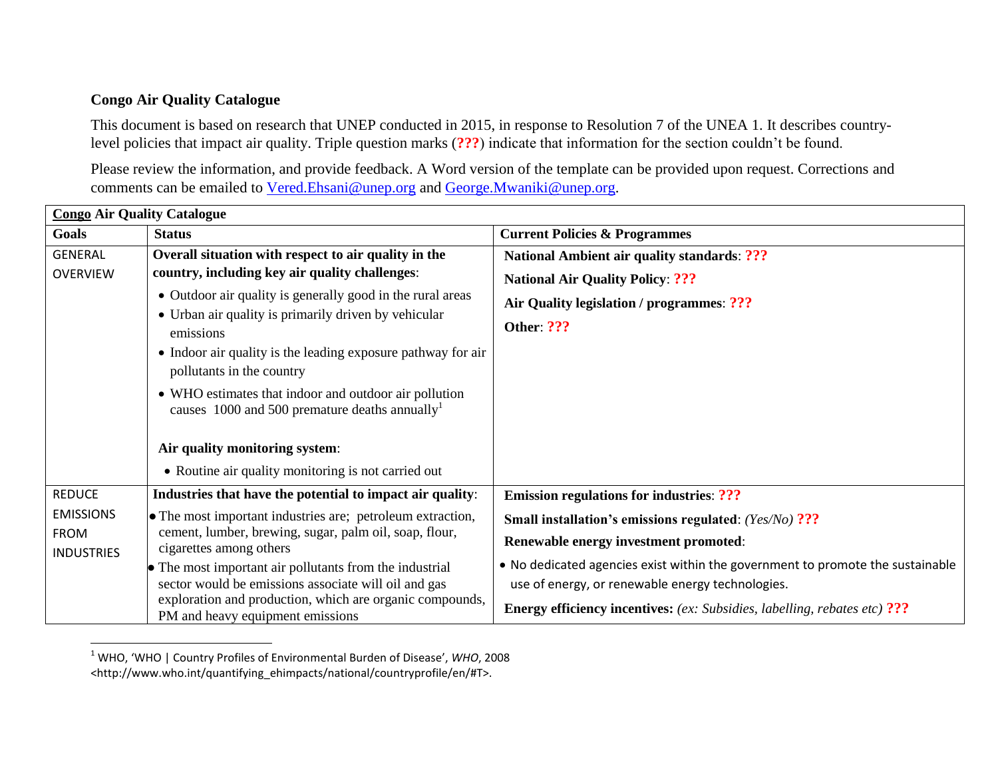## **Congo Air Quality Catalogue**

l

This document is based on research that UNEP conducted in 2015, in response to Resolution 7 of the UNEA 1. It describes countrylevel policies that impact air quality. Triple question marks (**???**) indicate that information for the section couldn't be found.

Please review the information, and provide feedback. A Word version of the template can be provided upon request. Corrections and comments can be emailed to [Vered.Ehsani@unep.org](mailto:Vered.Ehsani@unep.org) and [George.Mwaniki@unep.org.](mailto:George.Mwaniki@unep.org)

| <b>Congo Air Quality Catalogue</b> |                                                                                                        |                                                                                  |  |
|------------------------------------|--------------------------------------------------------------------------------------------------------|----------------------------------------------------------------------------------|--|
| Goals                              | <b>Status</b>                                                                                          | <b>Current Policies &amp; Programmes</b>                                         |  |
| <b>GENERAL</b>                     | Overall situation with respect to air quality in the                                                   | <b>National Ambient air quality standards: ???</b>                               |  |
| <b>OVERVIEW</b>                    | country, including key air quality challenges:                                                         | <b>National Air Quality Policy: ???</b>                                          |  |
|                                    | • Outdoor air quality is generally good in the rural areas                                             | Air Quality legislation / programmes: ???                                        |  |
|                                    | • Urban air quality is primarily driven by vehicular<br>emissions                                      | <b>Other: ???</b>                                                                |  |
|                                    | • Indoor air quality is the leading exposure pathway for air<br>pollutants in the country              |                                                                                  |  |
|                                    | • WHO estimates that indoor and outdoor air pollution<br>causes 1000 and 500 premature deaths annually |                                                                                  |  |
|                                    | Air quality monitoring system:                                                                         |                                                                                  |  |
|                                    | • Routine air quality monitoring is not carried out                                                    |                                                                                  |  |
| <b>REDUCE</b>                      | Industries that have the potential to impact air quality:                                              | <b>Emission regulations for industries: ???</b>                                  |  |
| <b>EMISSIONS</b>                   | • The most important industries are; petroleum extraction,                                             | <b>Small installation's emissions regulated:</b> (Yes/No) ???                    |  |
| <b>FROM</b><br><b>INDUSTRIES</b>   | cement, lumber, brewing, sugar, palm oil, soap, flour,<br>cigarettes among others                      | Renewable energy investment promoted:                                            |  |
|                                    | • The most important air pollutants from the industrial                                                | . No dedicated agencies exist within the government to promote the sustainable   |  |
|                                    | sector would be emissions associate will oil and gas                                                   | use of energy, or renewable energy technologies.                                 |  |
|                                    | exploration and production, which are organic compounds,<br>PM and heavy equipment emissions           | <b>Energy efficiency incentives:</b> (ex: Subsidies, labelling, rebates etc) ??? |  |

<sup>1</sup> WHO, 'WHO | Country Profiles of Environmental Burden of Disease', *WHO*, 2008 <http://www.who.int/quantifying\_ehimpacts/national/countryprofile/en/#T>.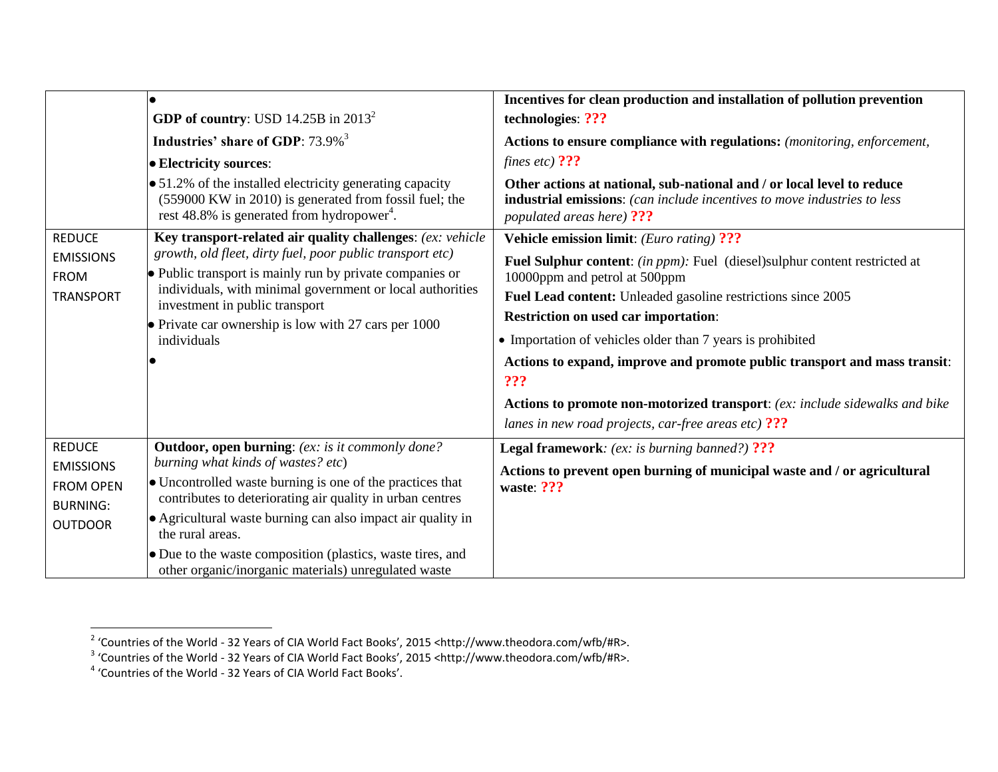|                                                                                            |                                                                                                                                                                                     | Incentives for clean production and installation of pollution prevention                                                                                                        |
|--------------------------------------------------------------------------------------------|-------------------------------------------------------------------------------------------------------------------------------------------------------------------------------------|---------------------------------------------------------------------------------------------------------------------------------------------------------------------------------|
|                                                                                            | <b>GDP</b> of country: USD 14.25B in $2013^2$                                                                                                                                       | technologies: ???                                                                                                                                                               |
|                                                                                            | Industries' share of GDP: 73.9% <sup>3</sup>                                                                                                                                        | Actions to ensure compliance with regulations: (monitoring, enforcement,                                                                                                        |
|                                                                                            | • Electricity sources:                                                                                                                                                              | fines etc) $?$ ??                                                                                                                                                               |
|                                                                                            | • 51.2% of the installed electricity generating capacity<br>(559000 KW in 2010) is generated from fossil fuel; the<br>rest 48.8% is generated from hydropower <sup>4</sup> .        | Other actions at national, sub-national and / or local level to reduce<br>industrial emissions: (can include incentives to move industries to less<br>populated areas here) ??? |
| <b>REDUCE</b><br><b>EMISSIONS</b><br><b>FROM</b>                                           | Key transport-related air quality challenges: (ex: vehicle<br>growth, old fleet, dirty fuel, poor public transport etc)<br>• Public transport is mainly run by private companies or | <b>Vehicle emission limit:</b> (Euro rating) ???                                                                                                                                |
|                                                                                            |                                                                                                                                                                                     | Fuel Sulphur content: (in ppm): Fuel (diesel)sulphur content restricted at<br>10000ppm and petrol at 500ppm                                                                     |
| <b>TRANSPORT</b>                                                                           | individuals, with minimal government or local authorities<br>investment in public transport                                                                                         | Fuel Lead content: Unleaded gasoline restrictions since 2005                                                                                                                    |
|                                                                                            | $\bullet$ Private car ownership is low with 27 cars per 1000<br>individuals                                                                                                         | <b>Restriction on used car importation:</b>                                                                                                                                     |
|                                                                                            |                                                                                                                                                                                     | • Importation of vehicles older than 7 years is prohibited                                                                                                                      |
|                                                                                            |                                                                                                                                                                                     | Actions to expand, improve and promote public transport and mass transit:<br>???                                                                                                |
|                                                                                            |                                                                                                                                                                                     | Actions to promote non-motorized transport: (ex: include sidewalks and bike                                                                                                     |
|                                                                                            |                                                                                                                                                                                     | lanes in new road projects, car-free areas etc) ???                                                                                                                             |
| <b>REDUCE</b><br><b>EMISSIONS</b><br><b>FROM OPEN</b><br><b>BURNING:</b><br><b>OUTDOOR</b> | <b>Outdoor, open burning:</b> (ex: is it commonly done?<br>burning what kinds of wastes? etc)                                                                                       | <b>Legal framework:</b> (ex: is burning banned?) ???                                                                                                                            |
|                                                                                            |                                                                                                                                                                                     | Actions to prevent open burning of municipal waste and / or agricultural                                                                                                        |
|                                                                                            | • Uncontrolled waste burning is one of the practices that<br>contributes to deteriorating air quality in urban centres                                                              | waste: ???                                                                                                                                                                      |
|                                                                                            | • Agricultural waste burning can also impact air quality in<br>the rural areas.                                                                                                     |                                                                                                                                                                                 |
|                                                                                            | • Due to the waste composition (plastics, waste tires, and<br>other organic/inorganic materials) unregulated waste                                                                  |                                                                                                                                                                                 |

<sup>&</sup>lt;sup>2</sup> 'Countries of the World - 32 Years of CIA World Fact Books', 2015 <http://www.theodora.com/wfb/#R>.<br><sup>3</sup> 'Countries of the World - 32 Years of CIA World Fact Books', 2015 <http://www.theodora.com/wfb/#R>.<br><sup>4</sup> 'Countries